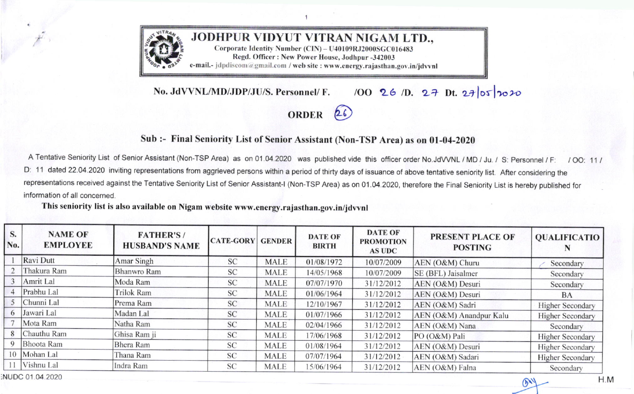

100 26 1D. 27 Dt. 27 05 2020 No. JdVVNL/MD/JDP/JU/S. Personnel/ F.

## ORDER<sub>26</sub>

## Sub :- Final Seniority List of Senior Assistant (Non-TSP Area) as on 01-04-2020

A Tentative Seniority List of Senior Assistant (Non-TSP Area) as on 01.04.2020 was published vide this officer order No.JdVVNL / MD / Ju. / S: Personnel / F:  $100:111$ D: 11 dated 22.04.2020 inviting representations from aggrieved persons within a period of thirty days of issuance of above tentative seniority list. After considering the representations received against the Tentative Seniority List of Senior Assistant-I (Non-TSP Area) as on 01.04.2020, therefore the Final Seniority List is hereby published for information of all concerned.

This seniority list is also available on Nigam website www.energy.rajasthan.gov.in/jdvvnl

| <b>NAME OF</b><br><b>EMPLOYEE</b> | <b>FATHER'S/</b><br><b>HUSBAND'S NAME</b>                                                                 | <b>CATE-GORY</b> | <b>GENDER</b> | <b>DATE OF</b><br><b>BIRTH</b> | <b>DATE OF</b><br><b>PROMOTION</b><br><b>AS UDC</b> | <b>PRESENT PLACE OF</b><br><b>POSTING</b> | <b>QUALIFICATIO</b>     |
|-----------------------------------|-----------------------------------------------------------------------------------------------------------|------------------|---------------|--------------------------------|-----------------------------------------------------|-------------------------------------------|-------------------------|
|                                   | Amar Singh                                                                                                | SC               | <b>MALE</b>   | 01/08/1972                     | 10/07/2009                                          | AEN (O&M) Churu                           | Secondary               |
| Thakura Ram                       | Bhanwro Ram                                                                                               | SC               | <b>MALE</b>   | 14/05/1968                     | 10/07/2009                                          | SE (BFL) Jaisalmer                        | Secondary               |
| Amrit Lal                         | Moda Ram                                                                                                  | <b>SC</b>        | <b>MALE</b>   | 07/07/1970                     | 31/12/2012                                          | AEN (O&M) Desuri                          | Secondary               |
|                                   | Trilok Ram                                                                                                | <b>SC</b>        | <b>MALE</b>   | 01/06/1964                     | 31/12/2012                                          | AEN (O&M) Desuri                          | <b>BA</b>               |
| Chunni Lal                        | Prema Ram                                                                                                 | <b>SC</b>        | <b>MALE</b>   | 12/10/1967                     | 31/12/2012                                          | AEN (O&M) Sadri                           | <b>Higher Secondary</b> |
|                                   | Madan Lal                                                                                                 | <b>SC</b>        | <b>MALE</b>   | 01/07/1966                     | 31/12/2012                                          |                                           | <b>Higher Secondary</b> |
|                                   | Natha Ram                                                                                                 | <b>SC</b>        | <b>MALE</b>   | 02/04/1966                     | 31/12/2012                                          | AEN (O&M) Nana                            | Secondary               |
|                                   | Ghisa Ram ji                                                                                              | <b>SC</b>        | <b>MALE</b>   | 17/06/1968                     | 31/12/2012                                          | PO (O&M) Pali                             | <b>Higher Secondary</b> |
|                                   | Bhera Ram                                                                                                 | <b>SC</b>        | <b>MALE</b>   | 01/08/1964                     | 31/12/2012                                          | AEN (O&M) Desuri                          | <b>Higher Secondary</b> |
|                                   | Thana Ram                                                                                                 | <b>SC</b>        | <b>MALE</b>   | 07/07/1964                     | 31/12/2012                                          | AEN (O&M) Sadari                          | <b>Higher Secondary</b> |
|                                   | Indra Ram                                                                                                 | <b>SC</b>        | <b>MALE</b>   | 15/06/1964                     | 31/12/2012                                          | AEN (O&M) Falna                           | Secondary               |
| No.                               | Ravi Dutt<br>Prabhu Lal<br>Jawari Lal<br>Mota Ram<br>Chauthu Ram<br>Bhoota Ram<br>Mohan Lal<br>Vishnu Lal |                  |               |                                |                                                     |                                           | AEN (O&M) Anandpur Kalu |

 $H.M$ 

 $\mathcal{D}$